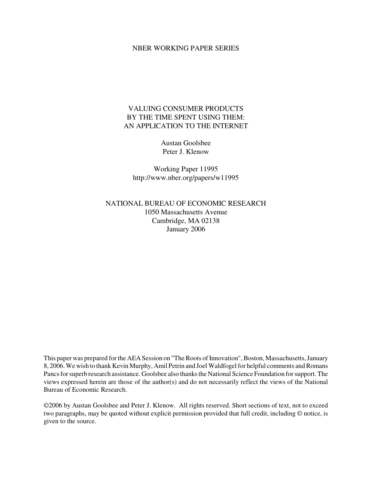### NBER WORKING PAPER SERIES

# VALUING CONSUMER PRODUCTS BY THE TIME SPENT USING THEM: AN APPLICATION TO THE INTERNET

Austan Goolsbee Peter J. Klenow

Working Paper 11995 http://www.nber.org/papers/w11995

NATIONAL BUREAU OF ECONOMIC RESEARCH 1050 Massachusetts Avenue Cambridge, MA 02138 January 2006

This paper was prepared for the AEA Session on "The Roots of Innovation", Boston, Massachusetts, January 8, 2006. We wish to thank Kevin Murphy, Amil Petrin and Joel Waldfogel for helpful comments and Romans Pancs for superb research assistance. Goolsbee also thanks the National Science Foundation for support. The views expressed herein are those of the author(s) and do not necessarily reflect the views of the National Bureau of Economic Research.

©2006 by Austan Goolsbee and Peter J. Klenow. All rights reserved. Short sections of text, not to exceed two paragraphs, may be quoted without explicit permission provided that full credit, including © notice, is given to the source.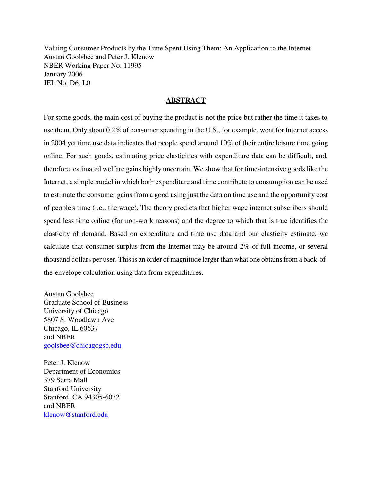Valuing Consumer Products by the Time Spent Using Them: An Application to the Internet Austan Goolsbee and Peter J. Klenow NBER Working Paper No. 11995 January 2006 JEL No. D6, L0

# **ABSTRACT**

For some goods, the main cost of buying the product is not the price but rather the time it takes to use them. Only about 0.2% of consumer spending in the U.S., for example, went for Internet access in 2004 yet time use data indicates that people spend around 10% of their entire leisure time going online. For such goods, estimating price elasticities with expenditure data can be difficult, and, therefore, estimated welfare gains highly uncertain. We show that for time-intensive goods like the Internet, a simple model in which both expenditure and time contribute to consumption can be used to estimate the consumer gains from a good using just the data on time use and the opportunity cost of people's time (i.e., the wage). The theory predicts that higher wage internet subscribers should spend less time online (for non-work reasons) and the degree to which that is true identifies the elasticity of demand. Based on expenditure and time use data and our elasticity estimate, we calculate that consumer surplus from the Internet may be around 2% of full-income, or several thousand dollars per user. This is an order of magnitude larger than what one obtains from a back-ofthe-envelope calculation using data from expenditures.

Austan Goolsbee Graduate School of Business University of Chicago 5807 S. Woodlawn Ave Chicago, IL 60637 and NBER goolsbee@chicagogsb.edu

Peter J. Klenow Department of Economics 579 Serra Mall Stanford University Stanford, CA 94305-6072 and NBER klenow@stanford.edu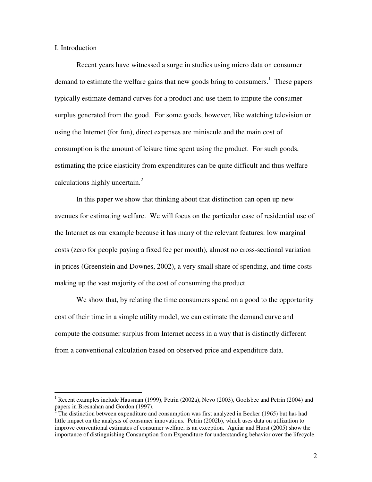I. Introduction

Recent years have witnessed a surge in studies using micro data on consumer demand to estimate the welfare gains that new goods bring to consumers.<sup>1</sup> These papers typically estimate demand curves for a product and use them to impute the consumer surplus generated from the good. For some goods, however, like watching television or using the Internet (for fun), direct expenses are miniscule and the main cost of consumption is the amount of leisure time spent using the product. For such goods, estimating the price elasticity from expenditures can be quite difficult and thus welfare calculations highly uncertain.<sup>2</sup>

In this paper we show that thinking about that distinction can open up new avenues for estimating welfare. We will focus on the particular case of residential use of the Internet as our example because it has many of the relevant features: low marginal costs (zero for people paying a fixed fee per month), almost no cross-sectional variation in prices (Greenstein and Downes, 2002), a very small share of spending, and time costs making up the vast majority of the cost of consuming the product.

We show that, by relating the time consumers spend on a good to the opportunity cost of their time in a simple utility model, we can estimate the demand curve and compute the consumer surplus from Internet access in a way that is distinctly different from a conventional calculation based on observed price and expenditure data.

<sup>&</sup>lt;sup>1</sup> Recent examples include Hausman (1999), Petrin (2002a), Nevo (2003), Goolsbee and Petrin (2004) and papers in Bresnahan and Gordon (1997).

 $2^2$  The distinction between expenditure and consumption was first analyzed in Becker (1965) but has had little impact on the analysis of consumer innovations. Petrin (2002b), which uses data on utilization to improve conventional estimates of consumer welfare, is an exception. Aguiar and Hurst (2005) show the importance of distinguishing Consumption from Expenditure for understanding behavior over the lifecycle.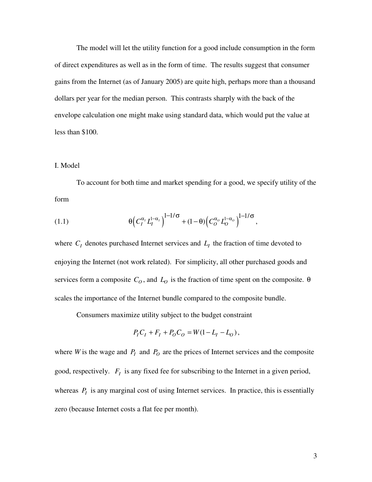The model will let the utility function for a good include consumption in the form of direct expenditures as well as in the form of time. The results suggest that consumer gains from the Internet (as of January 2005) are quite high, perhaps more than a thousand dollars per year for the median person. This contrasts sharply with the back of the envelope calculation one might make using standard data, which would put the value at less than \$100.

## I. Model

To account for both time and market spending for a good, we specify utility of the form

(1.1) 
$$
\theta \Big( C_I^{\alpha_I} L_I^{1-\alpha_I} \Big)^{1-1/\sigma} + (1-\theta) \Big( C_O^{\alpha_O} L_O^{1-\alpha_O} \Big)^{1-1/\sigma},
$$

where  $C_I$  denotes purchased Internet services and  $L_I$  the fraction of time devoted to enjoying the Internet (not work related). For simplicity, all other purchased goods and services form a composite  $C<sub>O</sub>$ , and  $L<sub>O</sub>$  is the fraction of time spent on the composite.  $\theta$ scales the importance of the Internet bundle compared to the composite bundle.

Consumers maximize utility subject to the budget constraint

$$
P_{I}C_{I} + F_{I} + P_{O}C_{O} = W(1 - L_{I} - L_{O}),
$$

where *W* is the wage and  $P_I$  and  $P_O$  are the prices of Internet services and the composite good, respectively.  $F_I$  is any fixed fee for subscribing to the Internet in a given period, whereas  $P_I$  is any marginal cost of using Internet services. In practice, this is essentially zero (because Internet costs a flat fee per month).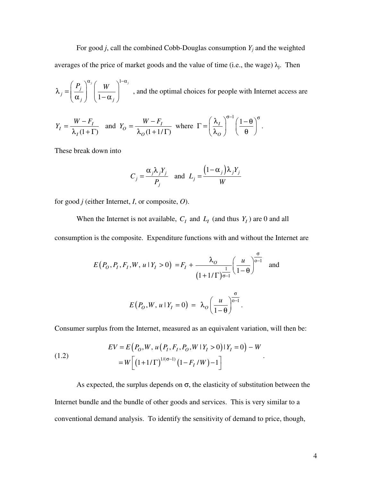For good *j*, call the combined Cobb-Douglas consumption  $Y_i$  and the weighted averages of the price of market goods and the value of time (i.e., the wage)  $\lambda_j$ . Then

1 1  $\int$ <sup>*j*</sup>  $\int$ <sup>*j*</sup>  $\int$ <sup>*j*</sup>  $\int$ <sup>*j*</sup>  $\int$ <sup>*j*</sup>  $\int$ <sup>*j*</sup>  $\int$ </sup>*j j*  $j \int \mathbf{1}^{-\mathbf{u}}j$  $\lambda_j = \left(\frac{P_j}{\alpha_j}\right)^{\alpha_j} \left(\frac{W}{1-\alpha_j}\right)^{1-\alpha_j}$ , and the optimal choices for people with Internet access are

$$
Y_I = \frac{W - F_I}{\lambda_I (1 + \Gamma)} \quad \text{and} \quad Y_O = \frac{W - F_I}{\lambda_O (1 + 1/\Gamma)} \text{ where } \Gamma = \left(\frac{\lambda_I}{\lambda_O}\right)^{\sigma - 1} \left(\frac{1 - \theta}{\theta}\right)^{\sigma}.
$$

These break down into

$$
C_j = \frac{\alpha_j \lambda_j Y_j}{P_j} \quad \text{and} \quad L_j = \frac{\left(1 - \alpha_j\right) \lambda_j Y_j}{W}
$$

for good *j* (either Internet, *I*, or composite, *O*).

When the Internet is not available,  $C_I$  and  $L_I$  (and thus  $Y_I$ ) are 0 and all

consumption is the composite. Expenditure functions with and without the Internet are

$$
E(P_O, P_I, F_I, W, u \mid Y_I > 0) = F_I + \frac{\lambda_O}{(1 + 1/\Gamma)^{\frac{1}{\sigma - 1}}} \left(\frac{u}{1 - \theta}\right)^{\frac{\sigma}{\sigma - 1}} \text{ and}
$$
\n
$$
E(P_O, W, u \mid Y_I = 0) = \lambda_O \left(\frac{u}{1 - \theta}\right)^{\frac{\sigma}{\sigma - 1}}.
$$

Consumer surplus from the Internet, measured as an equivalent variation, will then be:

(1.2) 
$$
EV = E(P_0, W, u(P_1, F_1, P_0, W | Y_1 > 0) | Y_1 = 0) - W
$$

$$
= W \left[ (1 + 1/\Gamma)^{1/(\sigma - 1)} (1 - F_1 / W) - 1 \right]
$$

As expected, the surplus depends on  $\sigma$ , the elasticity of substitution between the Internet bundle and the bundle of other goods and services. This is very similar to a conventional demand analysis. To identify the sensitivity of demand to price, though,

.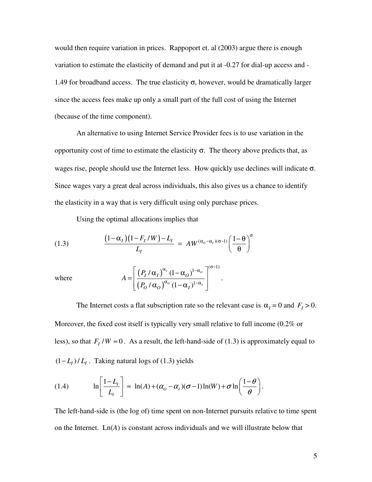would then require variation in prices. Rappoport et. al (2003) argue there is enough variation to estimate the elasticity of demand and put it at -0.27 for dial-up access and - 1.49 for broadband access. The true elasticity  $\sigma$ , however, would be dramatically larger since the access fees make up only a small part of the full cost of using the Internet (because of the time component).

An alternative to using Internet Service Provider fees is to use variation in the opportunity cost of time to estimate the elasticity σ. The theory above predicts that, as wages rise, people should use the Internet less. How quickly use declines will indicate  $\sigma$ . Since wages vary a great deal across individuals, this also gives us a chance to identify the elasticity in a way that is very difficult using only purchase prices.

Using the optimal allocations implies that

(1.3) 
$$
\frac{(1-\alpha_I)(1-F_I/W)-L_I}{L_I} = AW^{(\alpha_o-\alpha_I)(\sigma-1)} \left(\frac{1-\theta}{\theta}\right)^{\sigma}
$$

where

$$
A = \left[ \frac{\left( P_I / \alpha_I \right)^{\alpha_I} (1 - \alpha_O)^{1 - \alpha_O}}{\left( P_O / \alpha_O \right)^{\alpha_O} (1 - \alpha_I)^{1 - \alpha_I}} \right]^{(\sigma - 1)}.
$$

The Internet costs a flat subscription rate so the relevant case is  $\alpha_I = 0$  and  $F_I > 0$ . Moreover, the fixed cost itself is typically very small relative to full income (0.2% or less), so that  $F_I/W \approx 0$ . As a result, the left-hand-side of (1.3) is approximately equal to  $(1 - L_I)/L_I$ . Taking natural logs of (1.3) yields

(1.4) 
$$
\ln\left[\frac{1-L_{1}}{L_{1}}\right] \approx \ln(A) + (\alpha_{0} - \alpha_{1})(\sigma - 1)\ln(W) + \sigma \ln\left(\frac{1-\theta}{\theta}\right).
$$

The left-hand-side is (the log of) time spent on non-Internet pursuits relative to time spent on the Internet.  $Ln(A)$  is constant across individuals and we will illustrate below that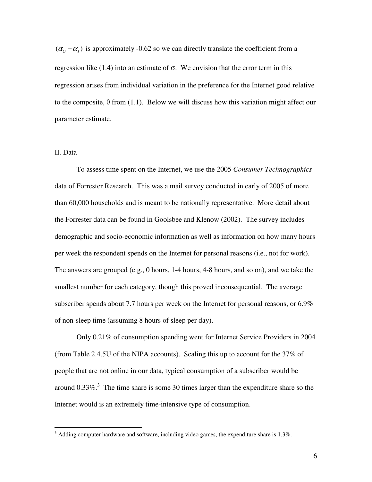$(\alpha_o - \alpha_I)$  is approximately -0.62 so we can directly translate the coefficient from a regression like (1.4) into an estimate of  $\sigma$ . We envision that the error term in this regression arises from individual variation in the preference for the Internet good relative to the composite,  $\theta$  from (1.1). Below we will discuss how this variation might affect our parameter estimate.

## II. Data

To assess time spent on the Internet, we use the 2005 *Consumer Technographics* data of Forrester Research. This was a mail survey conducted in early of 2005 of more than 60,000 households and is meant to be nationally representative. More detail about the Forrester data can be found in Goolsbee and Klenow (2002). The survey includes demographic and socio-economic information as well as information on how many hours per week the respondent spends on the Internet for personal reasons (i.e., not for work). The answers are grouped (e.g., 0 hours, 1-4 hours, 4-8 hours, and so on), and we take the smallest number for each category, though this proved inconsequential. The average subscriber spends about 7.7 hours per week on the Internet for personal reasons, or 6.9% of non-sleep time (assuming 8 hours of sleep per day).

Only 0.21% of consumption spending went for Internet Service Providers in 2004 (from Table 2.4.5U of the NIPA accounts). Scaling this up to account for the 37% of people that are not online in our data, typical consumption of a subscriber would be around  $0.33\%$ .<sup>3</sup> The time share is some 30 times larger than the expenditure share so the Internet would is an extremely time-intensive type of consumption.

 $3$  Adding computer hardware and software, including video games, the expenditure share is  $1.3\%$ .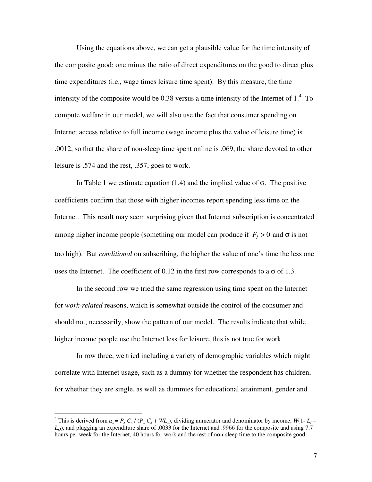Using the equations above, we can get a plausible value for the time intensity of the composite good: one minus the ratio of direct expenditures on the good to direct plus time expenditures (i.e., wage times leisure time spent). By this measure, the time intensity of the composite would be 0.38 versus a time intensity of the Internet of  $1<sup>4</sup>$  To compute welfare in our model, we will also use the fact that consumer spending on Internet access relative to full income (wage income plus the value of leisure time) is .0012, so that the share of non-sleep time spent online is .069, the share devoted to other leisure is .574 and the rest, .357, goes to work.

In Table 1 we estimate equation (1.4) and the implied value of  $\sigma$ . The positive coefficients confirm that those with higher incomes report spending less time on the Internet. This result may seem surprising given that Internet subscription is concentrated among higher income people (something our model can produce if  $F_I > 0$  and  $\sigma$  is not too high). But *conditional* on subscribing, the higher the value of one's time the less one uses the Internet. The coefficient of 0.12 in the first row corresponds to a  $\sigma$  of 1.3.

In the second row we tried the same regression using time spent on the Internet for *work-related* reasons, which is somewhat outside the control of the consumer and should not, necessarily, show the pattern of our model. The results indicate that while higher income people use the Internet less for leisure, this is not true for work.

In row three, we tried including a variety of demographic variables which might correlate with Internet usage, such as a dummy for whether the respondent has children, for whether they are single, as well as dummies for educational attainment, gender and

<sup>&</sup>lt;sup>4</sup> This is derived from  $a_x = P_x C_x / (P_x C_x + WL_x)$ , dividing numerator and denominator by income,  $W(1 - L_1 -$ *LO*), and plugging an expenditure share of .0033 for the Internet and .9966 for the composite and using 7.7 hours per week for the Internet, 40 hours for work and the rest of non-sleep time to the composite good.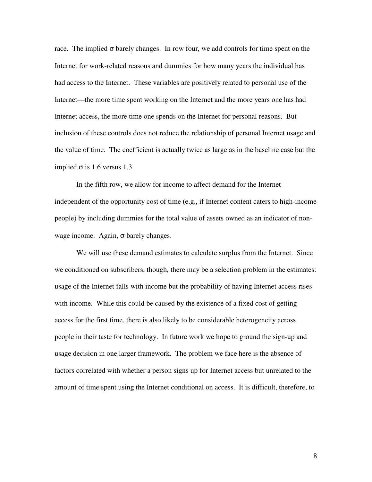race. The implied  $\sigma$  barely changes. In row four, we add controls for time spent on the Internet for work-related reasons and dummies for how many years the individual has had access to the Internet. These variables are positively related to personal use of the Internet—the more time spent working on the Internet and the more years one has had Internet access, the more time one spends on the Internet for personal reasons. But inclusion of these controls does not reduce the relationship of personal Internet usage and the value of time. The coefficient is actually twice as large as in the baseline case but the implied  $\sigma$  is 1.6 versus 1.3.

In the fifth row, we allow for income to affect demand for the Internet independent of the opportunity cost of time (e.g., if Internet content caters to high-income people) by including dummies for the total value of assets owned as an indicator of nonwage income. Again,  $\sigma$  barely changes.

We will use these demand estimates to calculate surplus from the Internet. Since we conditioned on subscribers, though, there may be a selection problem in the estimates: usage of the Internet falls with income but the probability of having Internet access rises with income. While this could be caused by the existence of a fixed cost of getting access for the first time, there is also likely to be considerable heterogeneity across people in their taste for technology. In future work we hope to ground the sign-up and usage decision in one larger framework. The problem we face here is the absence of factors correlated with whether a person signs up for Internet access but unrelated to the amount of time spent using the Internet conditional on access. It is difficult, therefore, to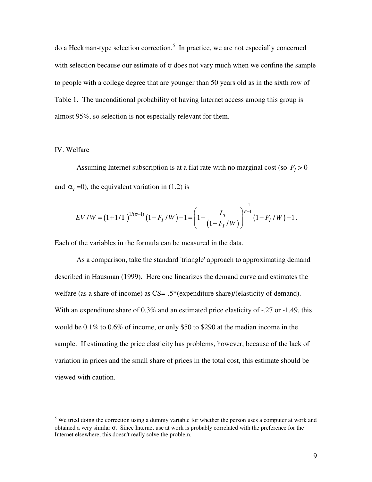do a Heckman-type selection correction. 5 In practice, we are not especially concerned with selection because our estimate of  $\sigma$  does not vary much when we confine the sample to people with a college degree that are younger than 50 years old as in the sixth row of Table 1. The unconditional probability of having Internet access among this group is almost 95%, so selection is not especially relevant for them.

### IV. Welfare

Assuming Internet subscription is at a flat rate with no marginal cost (so  $F<sub>I</sub> > 0$ and  $\alpha$ <sub>*I*</sub> =0), the equivalent variation in (1.2) is

$$
EV/W = (1+1/\Gamma)^{1/(\sigma-1)} (1 - F_I/W) - 1 = \left(1 - \frac{L_I}{(1 - F_I/W)}\right)^{-1} (1 - F_I/W) - 1.
$$

Each of the variables in the formula can be measured in the data.

As a comparison, take the standard 'triangle' approach to approximating demand described in Hausman (1999). Here one linearizes the demand curve and estimates the welfare (as a share of income) as CS=-.5\*(expenditure share)/(elasticity of demand). With an expenditure share of 0.3% and an estimated price elasticity of -.27 or -1.49, this would be 0.1% to 0.6% of income, or only \$50 to \$290 at the median income in the sample. If estimating the price elasticity has problems, however, because of the lack of variation in prices and the small share of prices in the total cost, this estimate should be viewed with caution.

<sup>&</sup>lt;sup>5</sup> We tried doing the correction using a dummy variable for whether the person uses a computer at work and obtained a very similar σ. Since Internet use at work is probably correlated with the preference for the Internet elsewhere, this doesn't really solve the problem.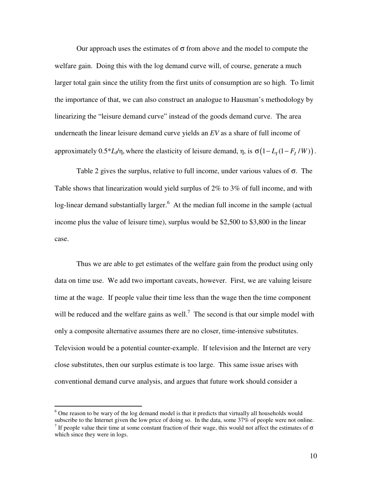Our approach uses the estimates of  $\sigma$  from above and the model to compute the welfare gain. Doing this with the log demand curve will, of course, generate a much larger total gain since the utility from the first units of consumption are so high. To limit the importance of that, we can also construct an analogue to Hausman's methodology by linearizing the "leisure demand curve" instead of the goods demand curve. The area underneath the linear leisure demand curve yields an *EV* as a share of full income of approximately  $0.5^*L_l/\eta$ , where the elasticity of leisure demand,  $\eta$ , is  $\sigma(1 - L_I(1 - F_I/W))$ .

Table 2 gives the surplus, relative to full income, under various values of  $\sigma$ . The Table shows that linearization would yield surplus of 2% to 3% of full income, and with log-linear demand substantially larger.<sup>6</sup> At the median full income in the sample (actual income plus the value of leisure time), surplus would be \$2,500 to \$3,800 in the linear case.

Thus we are able to get estimates of the welfare gain from the product using only data on time use. We add two important caveats, however. First, we are valuing leisure time at the wage. If people value their time less than the wage then the time component will be reduced and the welfare gains as well.<sup>7</sup> The second is that our simple model with only a composite alternative assumes there are no closer, time-intensive substitutes. Television would be a potential counter-example. If television and the Internet are very close substitutes, then our surplus estimate is too large. This same issue arises with conventional demand curve analysis, and argues that future work should consider a

 $6$  One reason to be wary of the log demand model is that it predicts that virtually all households would subscribe to the Internet given the low price of doing so. In the data, some 37% of people were not online.

<sup>&</sup>lt;sup>7</sup> If people value their time at some constant fraction of their wage, this would not affect the estimates of  $\sigma$ which since they were in logs.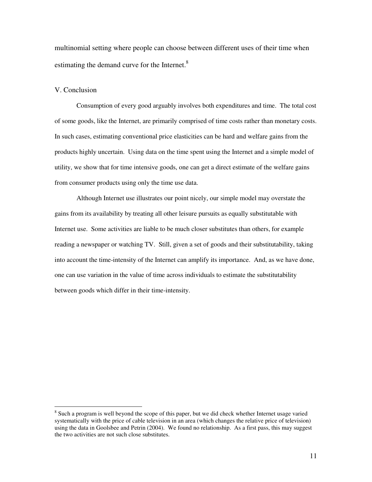multinomial setting where people can choose between different uses of their time when estimating the demand curve for the Internet.<sup>8</sup>

#### V. Conclusion

Consumption of every good arguably involves both expenditures and time. The total cost of some goods, like the Internet, are primarily comprised of time costs rather than monetary costs. In such cases, estimating conventional price elasticities can be hard and welfare gains from the products highly uncertain. Using data on the time spent using the Internet and a simple model of utility, we show that for time intensive goods, one can get a direct estimate of the welfare gains from consumer products using only the time use data.

Although Internet use illustrates our point nicely, our simple model may overstate the gains from its availability by treating all other leisure pursuits as equally substitutable with Internet use. Some activities are liable to be much closer substitutes than others, for example reading a newspaper or watching TV. Still, given a set of goods and their substitutability, taking into account the time-intensity of the Internet can amplify its importance. And, as we have done, one can use variation in the value of time across individuals to estimate the substitutability between goods which differ in their time-intensity.

<sup>&</sup>lt;sup>8</sup> Such a program is well beyond the scope of this paper, but we did check whether Internet usage varied systematically with the price of cable television in an area (which changes the relative price of television) using the data in Goolsbee and Petrin (2004). We found no relationship. As a first pass, this may suggest the two activities are not such close substitutes.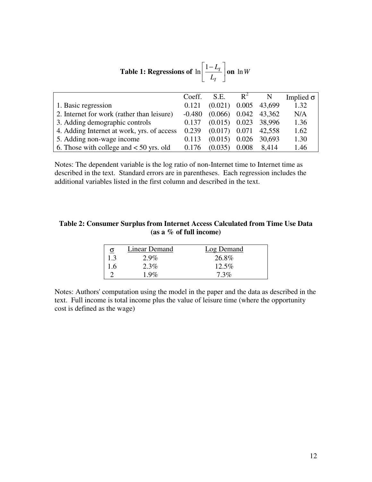| <b>Table 1:</b> Regressions of $\ln \left  \frac{1-L_I}{I}\right $ on $\ln W$ |  |  |
|-------------------------------------------------------------------------------|--|--|
|-------------------------------------------------------------------------------|--|--|

|                                            | Coeff.   | S.E.            | $R^2$ |        | Implied $\sigma$ |
|--------------------------------------------|----------|-----------------|-------|--------|------------------|
| 1. Basic regression                        | 0.121    | (0.021)         | 0.005 | 43,699 | 1.32             |
| 2. Internet for work (rather than leisure) | $-0.480$ | $(0.066)$ 0.042 |       | 43,362 | N/A              |
| 3. Adding demographic controls             | 0.137    | $(0.015)$ 0.023 |       | 38,996 | 1.36             |
| 4. Adding Internet at work, yrs. of access | 0.239    | (0.017)         | 0.071 | 42,558 | 1.62             |
| 5. Adding non-wage income                  | 0.113    | (0.015)         | 0.026 | 30,693 | 1.30             |
| 6. Those with college and $<$ 50 yrs. old  | 0.176    | (0.035)         | 0.008 | 8.414  | 1.46             |

Notes: The dependent variable is the log ratio of non-Internet time to Internet time as described in the text. Standard errors are in parentheses. Each regression includes the additional variables listed in the first column and described in the text.

# **Table 2: Consumer Surplus from Internet Access Calculated from Time Use Data (as a % of full income)**

| $\overline{\mathbf{o}}$ | Linear Demand | Log Demand |
|-------------------------|---------------|------------|
| 1.3                     | $2.9\%$       | 26.8%      |
| 1.6                     | $2.3\%$       | $12.5\%$   |
|                         | $1.9\%$       | $7.3\%$    |

Notes: Authors' computation using the model in the paper and the data as described in the text. Full income is total income plus the value of leisure time (where the opportunity cost is defined as the wage)